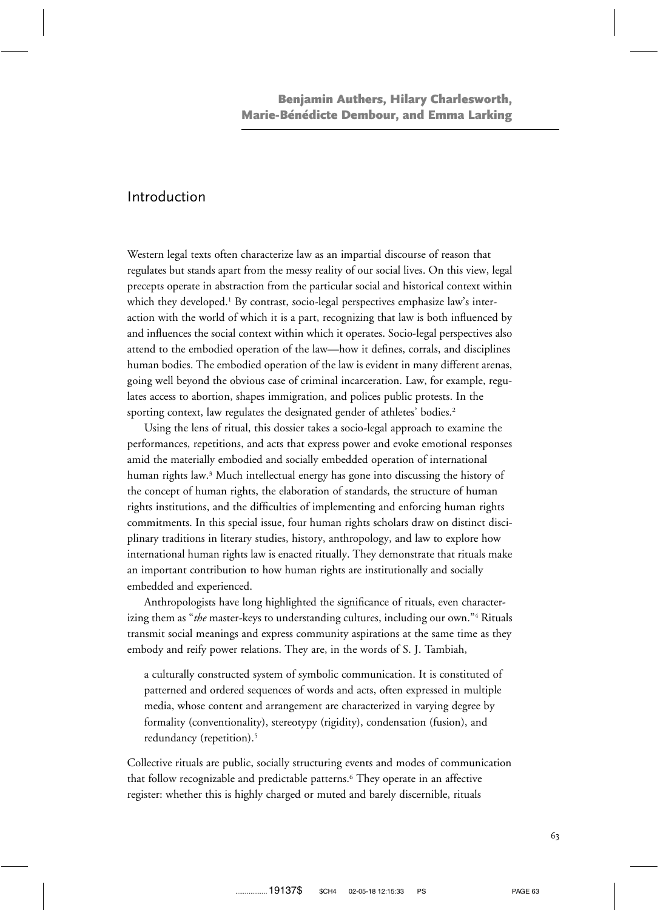## Introduction

Western legal texts often characterize law as an impartial discourse of reason that regulates but stands apart from the messy reality of our social lives. On this view, legal precepts operate in abstraction from the particular social and historical context within which they developed.<sup>1</sup> By contrast, socio-legal perspectives emphasize law's interaction with the world of which it is a part, recognizing that law is both influenced by and influences the social context within which it operates. Socio-legal perspectives also attend to the embodied operation of the law—how it defines, corrals, and disciplines human bodies. The embodied operation of the law is evident in many different arenas, going well beyond the obvious case of criminal incarceration. Law, for example, regulates access to abortion, shapes immigration, and polices public protests. In the sporting context, law regulates the designated gender of athletes' bodies.<sup>2</sup>

Using the lens of ritual, this dossier takes a socio-legal approach to examine the performances, repetitions, and acts that express power and evoke emotional responses amid the materially embodied and socially embedded operation of international human rights law.<sup>3</sup> Much intellectual energy has gone into discussing the history of the concept of human rights, the elaboration of standards, the structure of human rights institutions, and the difficulties of implementing and enforcing human rights commitments. In this special issue, four human rights scholars draw on distinct disciplinary traditions in literary studies, history, anthropology, and law to explore how international human rights law is enacted ritually. They demonstrate that rituals make an important contribution to how human rights are institutionally and socially embedded and experienced.

Anthropologists have long highlighted the significance of rituals, even characterizing them as "*the* master-keys to understanding cultures, including our own."4 Rituals transmit social meanings and express community aspirations at the same time as they embody and reify power relations. They are, in the words of S. J. Tambiah,

a culturally constructed system of symbolic communication. It is constituted of patterned and ordered sequences of words and acts, often expressed in multiple media, whose content and arrangement are characterized in varying degree by formality (conventionality), stereotypy (rigidity), condensation (fusion), and redundancy (repetition).<sup>5</sup>

Collective rituals are public, socially structuring events and modes of communication that follow recognizable and predictable patterns.<sup>6</sup> They operate in an affective register: whether this is highly charged or muted and barely discernible, rituals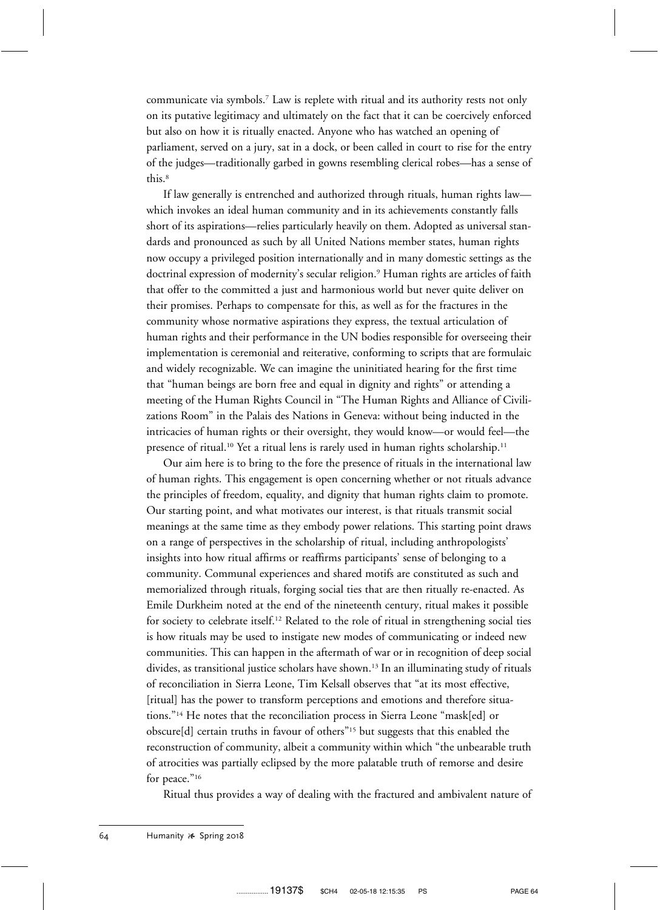communicate via symbols.7 Law is replete with ritual and its authority rests not only on its putative legitimacy and ultimately on the fact that it can be coercively enforced but also on how it is ritually enacted. Anyone who has watched an opening of parliament, served on a jury, sat in a dock, or been called in court to rise for the entry of the judges—traditionally garbed in gowns resembling clerical robes—has a sense of this.<sup>8</sup>

If law generally is entrenched and authorized through rituals, human rights law which invokes an ideal human community and in its achievements constantly falls short of its aspirations—relies particularly heavily on them. Adopted as universal standards and pronounced as such by all United Nations member states, human rights now occupy a privileged position internationally and in many domestic settings as the doctrinal expression of modernity's secular religion.9 Human rights are articles of faith that offer to the committed a just and harmonious world but never quite deliver on their promises. Perhaps to compensate for this, as well as for the fractures in the community whose normative aspirations they express, the textual articulation of human rights and their performance in the UN bodies responsible for overseeing their implementation is ceremonial and reiterative, conforming to scripts that are formulaic and widely recognizable. We can imagine the uninitiated hearing for the first time that "human beings are born free and equal in dignity and rights" or attending a meeting of the Human Rights Council in "The Human Rights and Alliance of Civilizations Room" in the Palais des Nations in Geneva: without being inducted in the intricacies of human rights or their oversight, they would know—or would feel—the presence of ritual.<sup>10</sup> Yet a ritual lens is rarely used in human rights scholarship.<sup>11</sup>

Our aim here is to bring to the fore the presence of rituals in the international law of human rights. This engagement is open concerning whether or not rituals advance the principles of freedom, equality, and dignity that human rights claim to promote. Our starting point, and what motivates our interest, is that rituals transmit social meanings at the same time as they embody power relations. This starting point draws on a range of perspectives in the scholarship of ritual, including anthropologists' insights into how ritual affirms or reaffirms participants' sense of belonging to a community. Communal experiences and shared motifs are constituted as such and memorialized through rituals, forging social ties that are then ritually re-enacted. As Emile Durkheim noted at the end of the nineteenth century, ritual makes it possible for society to celebrate itself.12 Related to the role of ritual in strengthening social ties is how rituals may be used to instigate new modes of communicating or indeed new communities. This can happen in the aftermath of war or in recognition of deep social divides, as transitional justice scholars have shown.<sup>13</sup> In an illuminating study of rituals of reconciliation in Sierra Leone, Tim Kelsall observes that "at its most effective, [ritual] has the power to transform perceptions and emotions and therefore situations."14 He notes that the reconciliation process in Sierra Leone "mask[ed] or obscure[d] certain truths in favour of others"15 but suggests that this enabled the reconstruction of community, albeit a community within which "the unbearable truth of atrocities was partially eclipsed by the more palatable truth of remorse and desire for peace."<sup>16</sup>

Ritual thus provides a way of dealing with the fractured and ambivalent nature of

<sup>64</sup> Humanity & Spring 2018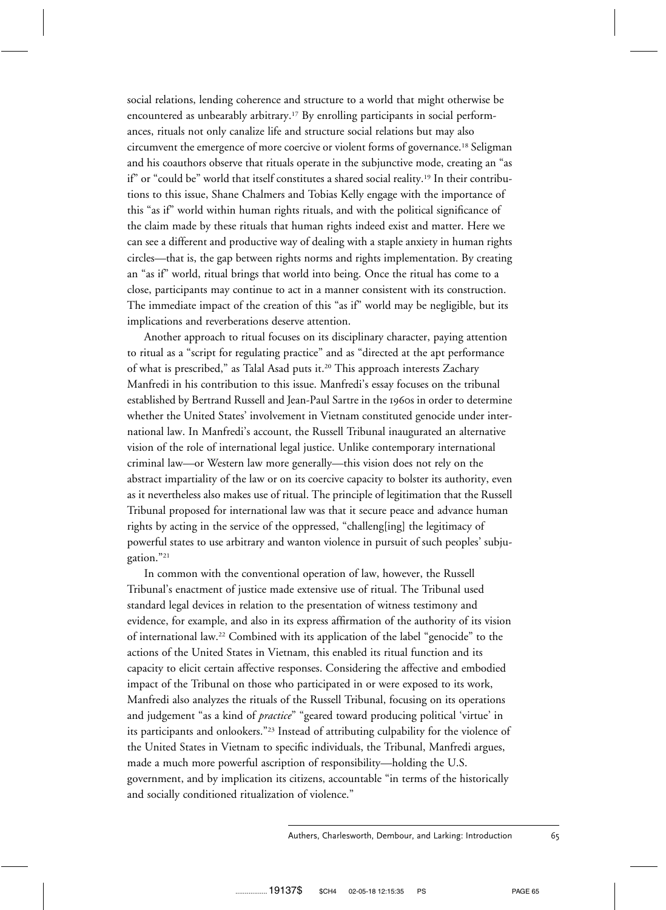social relations, lending coherence and structure to a world that might otherwise be encountered as unbearably arbitrary.<sup>17</sup> By enrolling participants in social performances, rituals not only canalize life and structure social relations but may also circumvent the emergence of more coercive or violent forms of governance.18 Seligman and his coauthors observe that rituals operate in the subjunctive mode, creating an "as if" or "could be" world that itself constitutes a shared social reality.19 In their contributions to this issue, Shane Chalmers and Tobias Kelly engage with the importance of this "as if" world within human rights rituals, and with the political significance of the claim made by these rituals that human rights indeed exist and matter. Here we can see a different and productive way of dealing with a staple anxiety in human rights circles—that is, the gap between rights norms and rights implementation. By creating an "as if" world, ritual brings that world into being. Once the ritual has come to a close, participants may continue to act in a manner consistent with its construction. The immediate impact of the creation of this "as if" world may be negligible, but its implications and reverberations deserve attention.

Another approach to ritual focuses on its disciplinary character, paying attention to ritual as a "script for regulating practice" and as "directed at the apt performance of what is prescribed," as Talal Asad puts it.20 This approach interests Zachary Manfredi in his contribution to this issue. Manfredi's essay focuses on the tribunal established by Bertrand Russell and Jean-Paul Sartre in the 1960s in order to determine whether the United States' involvement in Vietnam constituted genocide under international law. In Manfredi's account, the Russell Tribunal inaugurated an alternative vision of the role of international legal justice. Unlike contemporary international criminal law—or Western law more generally—this vision does not rely on the abstract impartiality of the law or on its coercive capacity to bolster its authority, even as it nevertheless also makes use of ritual. The principle of legitimation that the Russell Tribunal proposed for international law was that it secure peace and advance human rights by acting in the service of the oppressed, "challeng[ing] the legitimacy of powerful states to use arbitrary and wanton violence in pursuit of such peoples' subjugation."21

In common with the conventional operation of law, however, the Russell Tribunal's enactment of justice made extensive use of ritual. The Tribunal used standard legal devices in relation to the presentation of witness testimony and evidence, for example, and also in its express affirmation of the authority of its vision of international law.22 Combined with its application of the label "genocide" to the actions of the United States in Vietnam, this enabled its ritual function and its capacity to elicit certain affective responses. Considering the affective and embodied impact of the Tribunal on those who participated in or were exposed to its work, Manfredi also analyzes the rituals of the Russell Tribunal, focusing on its operations and judgement "as a kind of *practice*" "geared toward producing political 'virtue' in its participants and onlookers."23 Instead of attributing culpability for the violence of the United States in Vietnam to specific individuals, the Tribunal, Manfredi argues, made a much more powerful ascription of responsibility—holding the U.S. government, and by implication its citizens, accountable "in terms of the historically and socially conditioned ritualization of violence."

Authers, Charlesworth, Dembour, and Larking: Introduction 65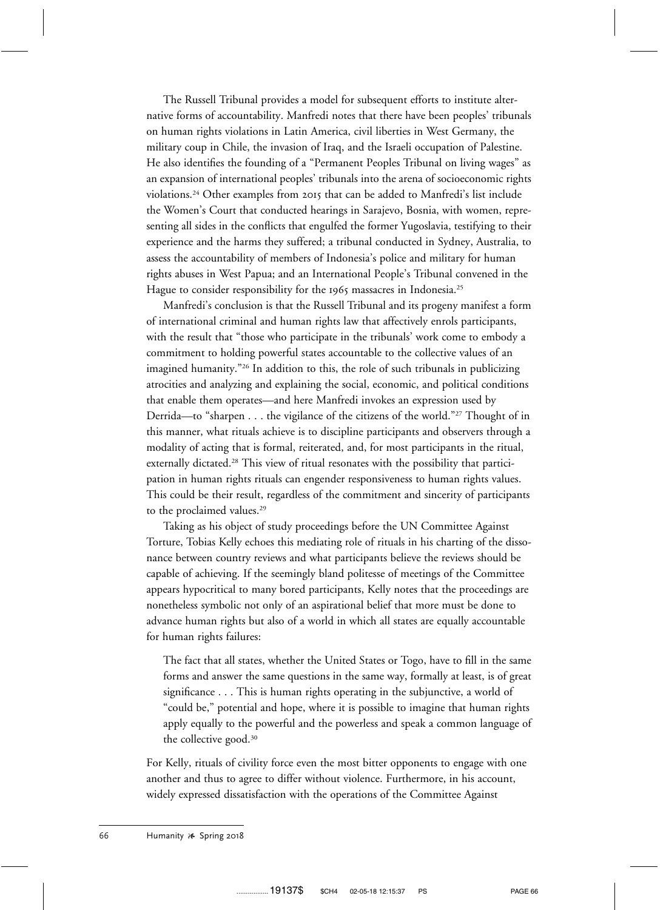The Russell Tribunal provides a model for subsequent efforts to institute alternative forms of accountability. Manfredi notes that there have been peoples' tribunals on human rights violations in Latin America, civil liberties in West Germany, the military coup in Chile, the invasion of Iraq, and the Israeli occupation of Palestine. He also identifies the founding of a "Permanent Peoples Tribunal on living wages" as an expansion of international peoples' tribunals into the arena of socioeconomic rights violations.24 Other examples from 2015 that can be added to Manfredi's list include the Women's Court that conducted hearings in Sarajevo, Bosnia, with women, representing all sides in the conflicts that engulfed the former Yugoslavia, testifying to their experience and the harms they suffered; a tribunal conducted in Sydney, Australia, to assess the accountability of members of Indonesia's police and military for human rights abuses in West Papua; and an International People's Tribunal convened in the Hague to consider responsibility for the 1965 massacres in Indonesia.<sup>25</sup>

Manfredi's conclusion is that the Russell Tribunal and its progeny manifest a form of international criminal and human rights law that affectively enrols participants, with the result that "those who participate in the tribunals' work come to embody a commitment to holding powerful states accountable to the collective values of an imagined humanity."26 In addition to this, the role of such tribunals in publicizing atrocities and analyzing and explaining the social, economic, and political conditions that enable them operates—and here Manfredi invokes an expression used by Derrida—to "sharpen . . . the vigilance of the citizens of the world."27 Thought of in this manner, what rituals achieve is to discipline participants and observers through a modality of acting that is formal, reiterated, and, for most participants in the ritual, externally dictated.<sup>28</sup> This view of ritual resonates with the possibility that participation in human rights rituals can engender responsiveness to human rights values. This could be their result, regardless of the commitment and sincerity of participants to the proclaimed values.<sup>29</sup>

Taking as his object of study proceedings before the UN Committee Against Torture, Tobias Kelly echoes this mediating role of rituals in his charting of the dissonance between country reviews and what participants believe the reviews should be capable of achieving. If the seemingly bland politesse of meetings of the Committee appears hypocritical to many bored participants, Kelly notes that the proceedings are nonetheless symbolic not only of an aspirational belief that more must be done to advance human rights but also of a world in which all states are equally accountable for human rights failures:

The fact that all states, whether the United States or Togo, have to fill in the same forms and answer the same questions in the same way, formally at least, is of great significance . . . This is human rights operating in the subjunctive, a world of "could be," potential and hope, where it is possible to imagine that human rights apply equally to the powerful and the powerless and speak a common language of the collective good.30

For Kelly, rituals of civility force even the most bitter opponents to engage with one another and thus to agree to differ without violence. Furthermore, in his account, widely expressed dissatisfaction with the operations of the Committee Against

<sup>66</sup> Humanity & Spring 2018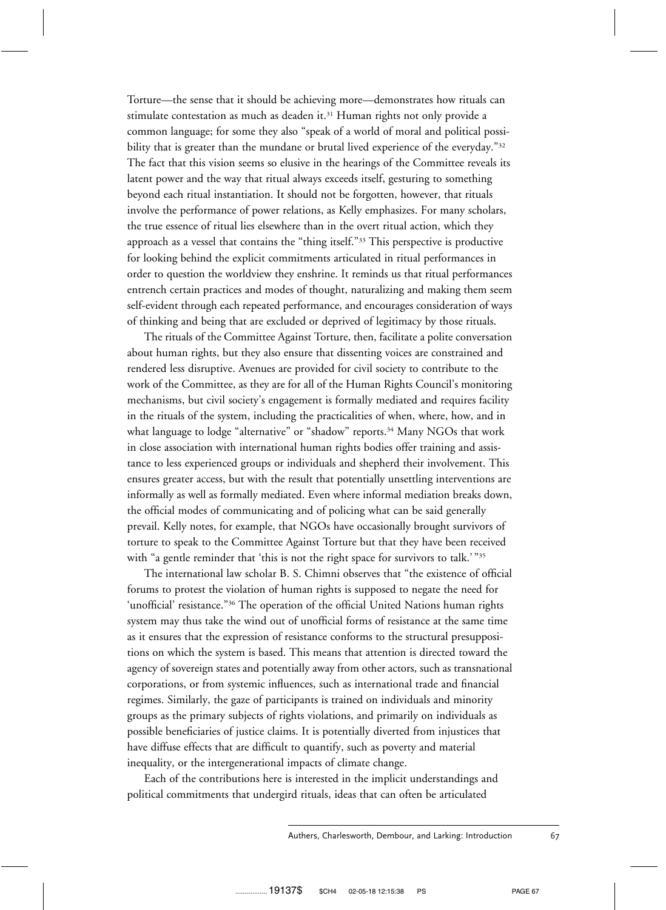Torture—the sense that it should be achieving more—demonstrates how rituals can stimulate contestation as much as deaden it.<sup>31</sup> Human rights not only provide a common language; for some they also "speak of a world of moral and political possibility that is greater than the mundane or brutal lived experience of the everyday."<sup>32</sup> The fact that this vision seems so elusive in the hearings of the Committee reveals its latent power and the way that ritual always exceeds itself, gesturing to something beyond each ritual instantiation. It should not be forgotten, however, that rituals involve the performance of power relations, as Kelly emphasizes. For many scholars, the true essence of ritual lies elsewhere than in the overt ritual action, which they approach as a vessel that contains the "thing itself."33 This perspective is productive for looking behind the explicit commitments articulated in ritual performances in order to question the worldview they enshrine. It reminds us that ritual performances entrench certain practices and modes of thought, naturalizing and making them seem self-evident through each repeated performance, and encourages consideration of ways of thinking and being that are excluded or deprived of legitimacy by those rituals.

The rituals of the Committee Against Torture, then, facilitate a polite conversation about human rights, but they also ensure that dissenting voices are constrained and rendered less disruptive. Avenues are provided for civil society to contribute to the work of the Committee, as they are for all of the Human Rights Council's monitoring mechanisms, but civil society's engagement is formally mediated and requires facility in the rituals of the system, including the practicalities of when, where, how, and in what language to lodge "alternative" or "shadow" reports.<sup>34</sup> Many NGOs that work in close association with international human rights bodies offer training and assistance to less experienced groups or individuals and shepherd their involvement. This ensures greater access, but with the result that potentially unsettling interventions are informally as well as formally mediated. Even where informal mediation breaks down, the official modes of communicating and of policing what can be said generally prevail. Kelly notes, for example, that NGOs have occasionally brought survivors of torture to speak to the Committee Against Torture but that they have been received with "a gentle reminder that 'this is not the right space for survivors to talk.'"<sup>35</sup>

The international law scholar B. S. Chimni observes that "the existence of official forums to protest the violation of human rights is supposed to negate the need for 'unofficial' resistance."<sup>36</sup> The operation of the official United Nations human rights system may thus take the wind out of unofficial forms of resistance at the same time as it ensures that the expression of resistance conforms to the structural presuppositions on which the system is based. This means that attention is directed toward the agency of sovereign states and potentially away from other actors, such as transnational corporations, or from systemic influences, such as international trade and financial regimes. Similarly, the gaze of participants is trained on individuals and minority groups as the primary subjects of rights violations, and primarily on individuals as possible beneficiaries of justice claims. It is potentially diverted from injustices that have diffuse effects that are difficult to quantify, such as poverty and material inequality, or the intergenerational impacts of climate change.

Each of the contributions here is interested in the implicit understandings and political commitments that undergird rituals, ideas that can often be articulated

Authers, Charlesworth, Dembour, and Larking: Introduction 67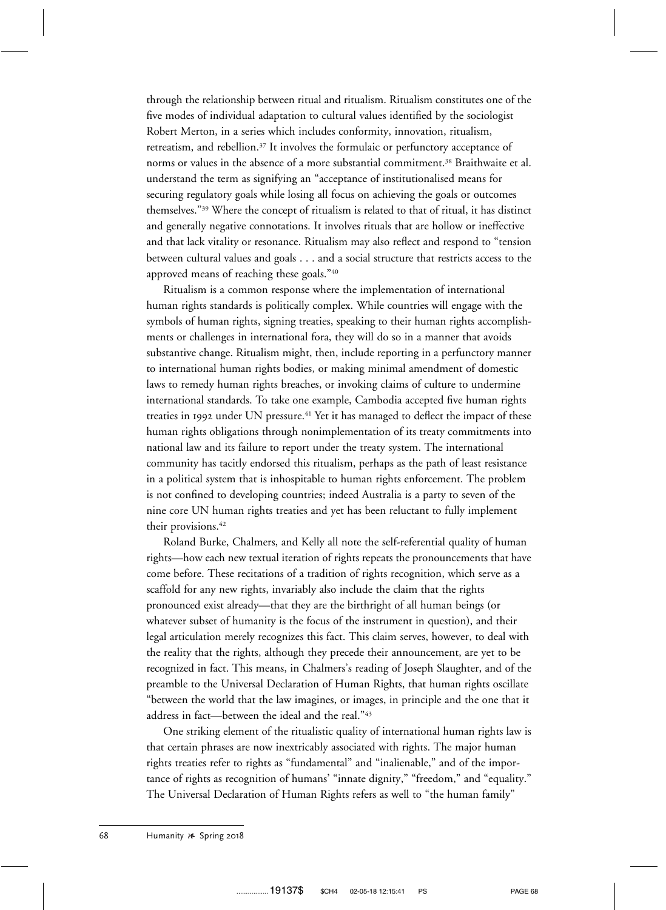through the relationship between ritual and ritualism. Ritualism constitutes one of the five modes of individual adaptation to cultural values identified by the sociologist Robert Merton, in a series which includes conformity, innovation, ritualism, retreatism, and rebellion.<sup>37</sup> It involves the formulaic or perfunctory acceptance of norms or values in the absence of a more substantial commitment.38 Braithwaite et al. understand the term as signifying an "acceptance of institutionalised means for securing regulatory goals while losing all focus on achieving the goals or outcomes themselves."39 Where the concept of ritualism is related to that of ritual, it has distinct and generally negative connotations. It involves rituals that are hollow or ineffective and that lack vitality or resonance. Ritualism may also reflect and respond to "tension between cultural values and goals . . . and a social structure that restricts access to the approved means of reaching these goals."40

Ritualism is a common response where the implementation of international human rights standards is politically complex. While countries will engage with the symbols of human rights, signing treaties, speaking to their human rights accomplishments or challenges in international fora, they will do so in a manner that avoids substantive change. Ritualism might, then, include reporting in a perfunctory manner to international human rights bodies, or making minimal amendment of domestic laws to remedy human rights breaches, or invoking claims of culture to undermine international standards. To take one example, Cambodia accepted five human rights treaties in 1992 under UN pressure.<sup>41</sup> Yet it has managed to deflect the impact of these human rights obligations through nonimplementation of its treaty commitments into national law and its failure to report under the treaty system. The international community has tacitly endorsed this ritualism, perhaps as the path of least resistance in a political system that is inhospitable to human rights enforcement. The problem is not confined to developing countries; indeed Australia is a party to seven of the nine core UN human rights treaties and yet has been reluctant to fully implement their provisions.<sup>42</sup>

Roland Burke, Chalmers, and Kelly all note the self-referential quality of human rights—how each new textual iteration of rights repeats the pronouncements that have come before. These recitations of a tradition of rights recognition, which serve as a scaffold for any new rights, invariably also include the claim that the rights pronounced exist already—that they are the birthright of all human beings (or whatever subset of humanity is the focus of the instrument in question), and their legal articulation merely recognizes this fact. This claim serves, however, to deal with the reality that the rights, although they precede their announcement, are yet to be recognized in fact. This means, in Chalmers's reading of Joseph Slaughter, and of the preamble to the Universal Declaration of Human Rights, that human rights oscillate "between the world that the law imagines, or images, in principle and the one that it address in fact—between the ideal and the real."43

One striking element of the ritualistic quality of international human rights law is that certain phrases are now inextricably associated with rights. The major human rights treaties refer to rights as "fundamental" and "inalienable," and of the importance of rights as recognition of humans' "innate dignity," "freedom," and "equality." The Universal Declaration of Human Rights refers as well to "the human family"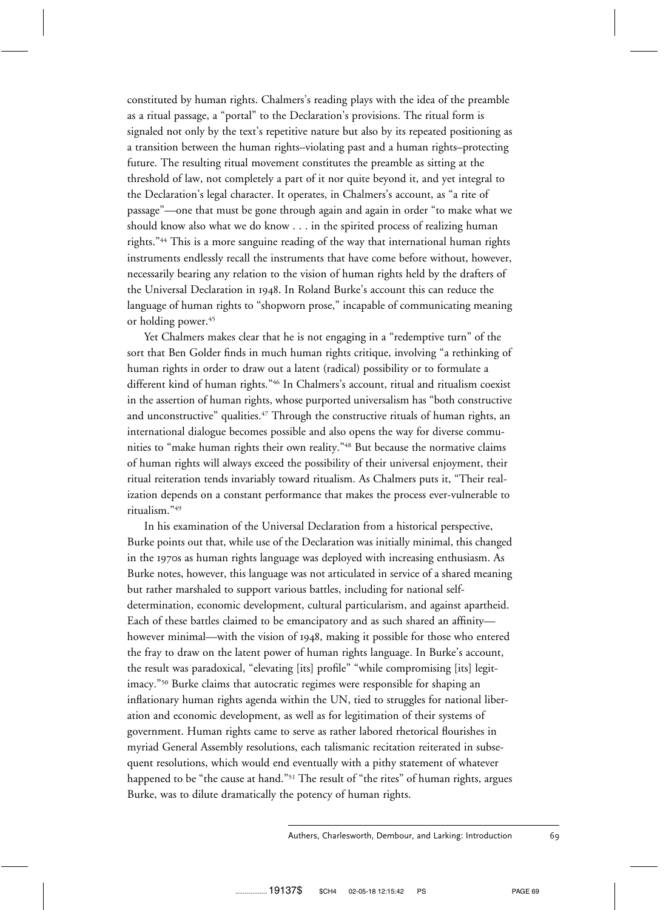constituted by human rights. Chalmers's reading plays with the idea of the preamble as a ritual passage, a "portal" to the Declaration's provisions. The ritual form is signaled not only by the text's repetitive nature but also by its repeated positioning as a transition between the human rights–violating past and a human rights–protecting future. The resulting ritual movement constitutes the preamble as sitting at the threshold of law, not completely a part of it nor quite beyond it, and yet integral to the Declaration's legal character. It operates, in Chalmers's account, as "a rite of passage"—one that must be gone through again and again in order "to make what we should know also what we do know . . . in the spirited process of realizing human rights."44 This is a more sanguine reading of the way that international human rights instruments endlessly recall the instruments that have come before without, however, necessarily bearing any relation to the vision of human rights held by the drafters of the Universal Declaration in 1948. In Roland Burke's account this can reduce the language of human rights to "shopworn prose," incapable of communicating meaning or holding power.<sup>45</sup>

Yet Chalmers makes clear that he is not engaging in a "redemptive turn" of the sort that Ben Golder finds in much human rights critique, involving "a rethinking of human rights in order to draw out a latent (radical) possibility or to formulate a different kind of human rights."46 In Chalmers's account, ritual and ritualism coexist in the assertion of human rights, whose purported universalism has "both constructive and unconstructive" qualities.<sup>47</sup> Through the constructive rituals of human rights, an international dialogue becomes possible and also opens the way for diverse communities to "make human rights their own reality."48 But because the normative claims of human rights will always exceed the possibility of their universal enjoyment, their ritual reiteration tends invariably toward ritualism. As Chalmers puts it, "Their realization depends on a constant performance that makes the process ever-vulnerable to ritualism."49

In his examination of the Universal Declaration from a historical perspective, Burke points out that, while use of the Declaration was initially minimal, this changed in the 1970s as human rights language was deployed with increasing enthusiasm. As Burke notes, however, this language was not articulated in service of a shared meaning but rather marshaled to support various battles, including for national selfdetermination, economic development, cultural particularism, and against apartheid. Each of these battles claimed to be emancipatory and as such shared an affinity however minimal—with the vision of 1948, making it possible for those who entered the fray to draw on the latent power of human rights language. In Burke's account, the result was paradoxical, "elevating [its] profile" "while compromising [its] legitimacy."50 Burke claims that autocratic regimes were responsible for shaping an inflationary human rights agenda within the UN, tied to struggles for national liberation and economic development, as well as for legitimation of their systems of government. Human rights came to serve as rather labored rhetorical flourishes in myriad General Assembly resolutions, each talismanic recitation reiterated in subsequent resolutions, which would end eventually with a pithy statement of whatever happened to be "the cause at hand."<sup>51</sup> The result of "the rites" of human rights, argues Burke, was to dilute dramatically the potency of human rights.

Authers, Charlesworth, Dembour, and Larking: Introduction 69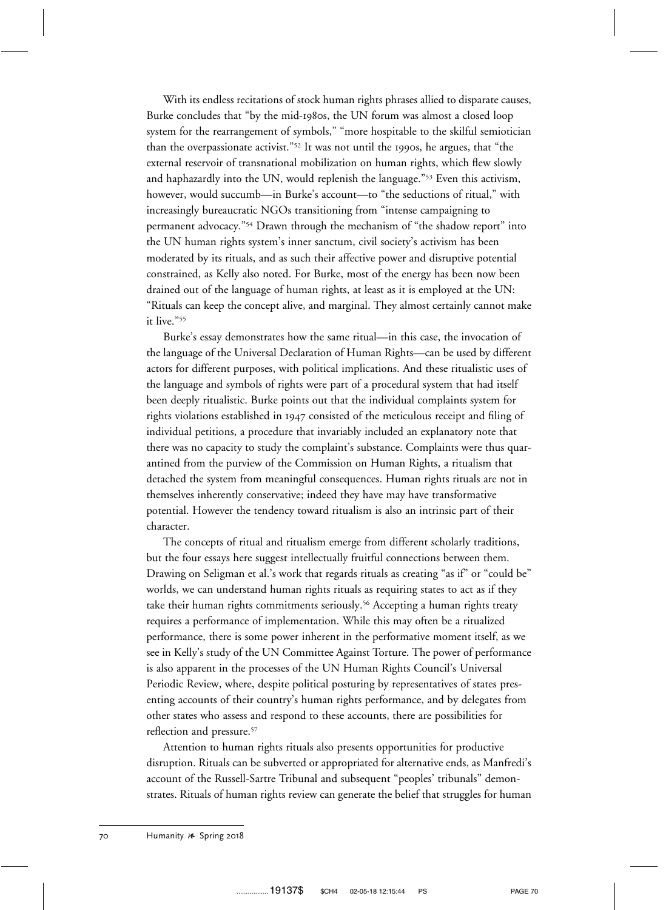With its endless recitations of stock human rights phrases allied to disparate causes, Burke concludes that "by the mid-1980s, the UN forum was almost a closed loop system for the rearrangement of symbols," "more hospitable to the skilful semiotician than the overpassionate activist."52 It was not until the 1990s, he argues, that "the external reservoir of transnational mobilization on human rights, which flew slowly and haphazardly into the UN, would replenish the language."53 Even this activism, however, would succumb—in Burke's account—to "the seductions of ritual," with increasingly bureaucratic NGOs transitioning from "intense campaigning to permanent advocacy."54 Drawn through the mechanism of "the shadow report" into the UN human rights system's inner sanctum, civil society's activism has been moderated by its rituals, and as such their affective power and disruptive potential constrained, as Kelly also noted. For Burke, most of the energy has been now been drained out of the language of human rights, at least as it is employed at the UN: "Rituals can keep the concept alive, and marginal. They almost certainly cannot make it live."55

Burke's essay demonstrates how the same ritual—in this case, the invocation of the language of the Universal Declaration of Human Rights—can be used by different actors for different purposes, with political implications. And these ritualistic uses of the language and symbols of rights were part of a procedural system that had itself been deeply ritualistic. Burke points out that the individual complaints system for rights violations established in 1947 consisted of the meticulous receipt and filing of individual petitions, a procedure that invariably included an explanatory note that there was no capacity to study the complaint's substance. Complaints were thus quarantined from the purview of the Commission on Human Rights, a ritualism that detached the system from meaningful consequences. Human rights rituals are not in themselves inherently conservative; indeed they have may have transformative potential. However the tendency toward ritualism is also an intrinsic part of their character.

The concepts of ritual and ritualism emerge from different scholarly traditions, but the four essays here suggest intellectually fruitful connections between them. Drawing on Seligman et al.'s work that regards rituals as creating "as if" or "could be" worlds, we can understand human rights rituals as requiring states to act as if they take their human rights commitments seriously.<sup>56</sup> Accepting a human rights treaty requires a performance of implementation. While this may often be a ritualized performance, there is some power inherent in the performative moment itself, as we see in Kelly's study of the UN Committee Against Torture. The power of performance is also apparent in the processes of the UN Human Rights Council's Universal Periodic Review, where, despite political posturing by representatives of states presenting accounts of their country's human rights performance, and by delegates from other states who assess and respond to these accounts, there are possibilities for reflection and pressure.57

Attention to human rights rituals also presents opportunities for productive disruption. Rituals can be subverted or appropriated for alternative ends, as Manfredi's account of the Russell-Sartre Tribunal and subsequent "peoples' tribunals" demonstrates. Rituals of human rights review can generate the belief that struggles for human

70 Humanity & Spring 2018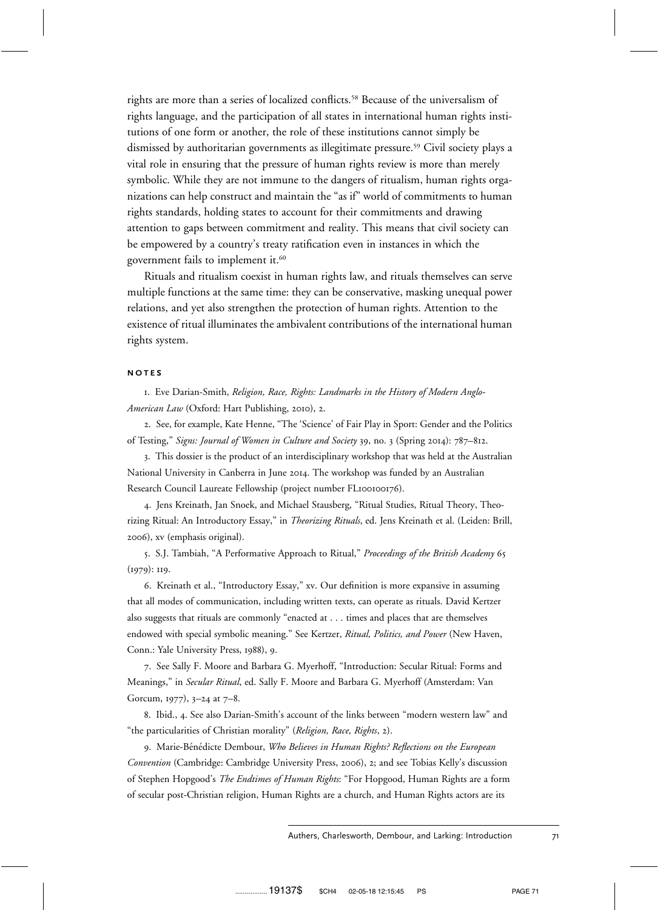rights are more than a series of localized conflicts.58 Because of the universalism of rights language, and the participation of all states in international human rights institutions of one form or another, the role of these institutions cannot simply be dismissed by authoritarian governments as illegitimate pressure.<sup>59</sup> Civil society plays a vital role in ensuring that the pressure of human rights review is more than merely symbolic. While they are not immune to the dangers of ritualism, human rights organizations can help construct and maintain the "as if" world of commitments to human rights standards, holding states to account for their commitments and drawing attention to gaps between commitment and reality. This means that civil society can be empowered by a country's treaty ratification even in instances in which the government fails to implement it.<sup>60</sup>

Rituals and ritualism coexist in human rights law, and rituals themselves can serve multiple functions at the same time: they can be conservative, masking unequal power relations, and yet also strengthen the protection of human rights. Attention to the existence of ritual illuminates the ambivalent contributions of the international human rights system.

## **NOTES**

1. Eve Darian-Smith, *Religion, Race, Rights: Landmarks in the History of Modern Anglo-American Law* (Oxford: Hart Publishing, 2010), 2.

2. See, for example, Kate Henne, "The 'Science' of Fair Play in Sport: Gender and the Politics of Testing," *Signs: Journal of Women in Culture and Society* 39, no. 3 (Spring 2014): 787–812.

3. This dossier is the product of an interdisciplinary workshop that was held at the Australian National University in Canberra in June 2014. The workshop was funded by an Australian Research Council Laureate Fellowship (project number FL100100176).

4. Jens Kreinath, Jan Snoek, and Michael Stausberg, "Ritual Studies, Ritual Theory, Theorizing Ritual: An Introductory Essay," in *Theorizing Rituals*, ed. Jens Kreinath et al. (Leiden: Brill, 2006), xv (emphasis original).

5. S.J. Tambiah, "A Performative Approach to Ritual," *Proceedings of the British Academy* 65 (1979): 119.

6. Kreinath et al., "Introductory Essay," xv. Our definition is more expansive in assuming that all modes of communication, including written texts, can operate as rituals. David Kertzer also suggests that rituals are commonly "enacted at . . . times and places that are themselves endowed with special symbolic meaning." See Kertzer, *Ritual, Politics, and Power* (New Haven, Conn.: Yale University Press, 1988), 9.

7. See Sally F. Moore and Barbara G. Myerhoff, "Introduction: Secular Ritual: Forms and Meanings," in *Secular Ritual*, ed. Sally F. Moore and Barbara G. Myerhoff (Amsterdam: Van Gorcum, 1977), 3–24 at 7–8.

8. Ibid., 4. See also Darian-Smith's account of the links between "modern western law" and "the particularities of Christian morality" (*Religion, Race, Rights*, 2).

9. Marie-Bénédicte Dembour, *Who Believes in Human Rights? Reflections on the European Convention* (Cambridge: Cambridge University Press, 2006), 2; and see Tobias Kelly's discussion of Stephen Hopgood's *The Endtimes of Human Rights*: "For Hopgood, Human Rights are a form of secular post-Christian religion, Human Rights are a church, and Human Rights actors are its

Authers, Charlesworth, Dembour, and Larking: Introduction 71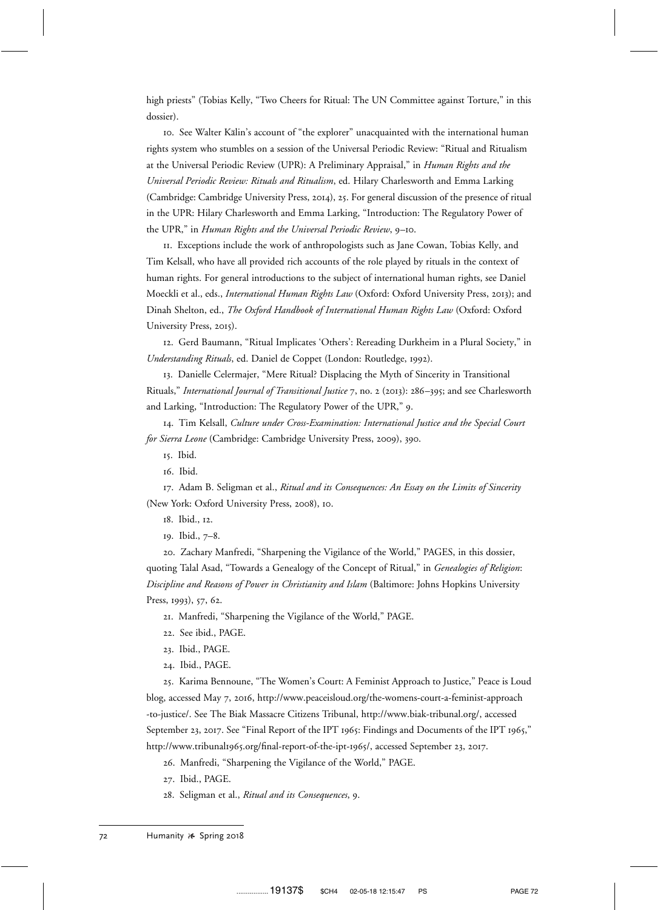high priests" (Tobias Kelly, "Two Cheers for Ritual: The UN Committee against Torture," in this dossier).

10. See Walter Kälin's account of "the explorer" unacquainted with the international human rights system who stumbles on a session of the Universal Periodic Review: "Ritual and Ritualism at the Universal Periodic Review (UPR): A Preliminary Appraisal," in *Human Rights and the Universal Periodic Review: Rituals and Ritualism*, ed. Hilary Charlesworth and Emma Larking (Cambridge: Cambridge University Press, 2014), 25. For general discussion of the presence of ritual in the UPR: Hilary Charlesworth and Emma Larking, "Introduction: The Regulatory Power of the UPR," in *Human Rights and the Universal Periodic Review*, 9–10.

11. Exceptions include the work of anthropologists such as Jane Cowan, Tobias Kelly, and Tim Kelsall, who have all provided rich accounts of the role played by rituals in the context of human rights. For general introductions to the subject of international human rights, see Daniel Moeckli et al., eds., *International Human Rights Law* (Oxford: Oxford University Press, 2013); and Dinah Shelton, ed., *The Oxford Handbook of International Human Rights Law* (Oxford: Oxford University Press, 2015).

12. Gerd Baumann, "Ritual Implicates 'Others': Rereading Durkheim in a Plural Society," in *Understanding Rituals*, ed. Daniel de Coppet (London: Routledge, 1992).

13. Danielle Celermajer, "Mere Ritual? Displacing the Myth of Sincerity in Transitional Rituals," *International Journal of Transitional Justice* 7, no. 2 (2013): 286–395; and see Charlesworth and Larking, "Introduction: The Regulatory Power of the UPR," 9.

14. Tim Kelsall, *Culture under Cross-Examination: International Justice and the Special Court for Sierra Leone* (Cambridge: Cambridge University Press, 2009), 390.

15. Ibid.

16. Ibid.

17. Adam B. Seligman et al., *Ritual and its Consequences: An Essay on the Limits of Sincerity* (New York: Oxford University Press, 2008), 10.

18. Ibid., 12.

19. Ibid., 7–8.

20. Zachary Manfredi, "Sharpening the Vigilance of the World," PAGES, in this dossier, quoting Talal Asad, "Towards a Genealogy of the Concept of Ritual," in *Genealogies of Religion*: *Discipline and Reasons of Power in Christianity and Islam* (Baltimore: Johns Hopkins University Press, 1993), 57, 62.

21. Manfredi, "Sharpening the Vigilance of the World," PAGE.

22. See ibid., PAGE.

23. Ibid., PAGE.

24. Ibid., PAGE.

25. Karima Bennoune, "The Women's Court: A Feminist Approach to Justice," Peace is Loud blog, accessed May 7, 2016, http://www.peaceisloud.org/the-womens-court-a-feminist-approach -to-justice/. See The Biak Massacre Citizens Tribunal, http://www.biak-tribunal.org/, accessed September 23, 2017. See "Final Report of the IPT 1965: Findings and Documents of the IPT 1965," http://www.tribunal1965.org/final-report-of-the-ipt-1965/, accessed September 23, 2017.

26. Manfredi, "Sharpening the Vigilance of the World," PAGE.

27. Ibid., PAGE.

28. Seligman et al., *Ritual and its Consequences*, 9.

72 Humanity & Spring 2018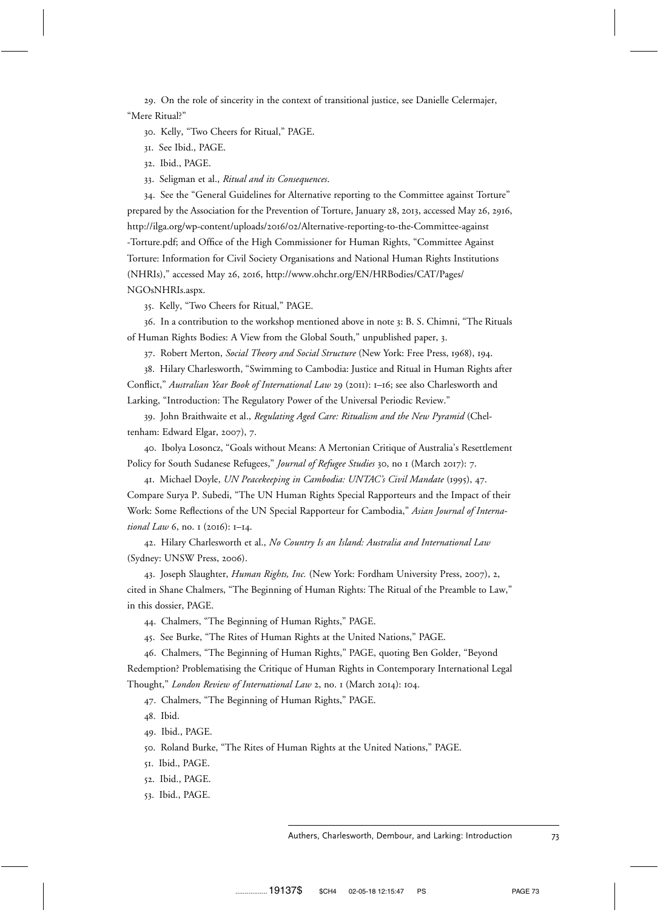29. On the role of sincerity in the context of transitional justice, see Danielle Celermajer, "Mere Ritual?"

30. Kelly, "Two Cheers for Ritual," PAGE.

31. See Ibid., PAGE.

32. Ibid., PAGE.

33. Seligman et al., *Ritual and its Consequences*.

34. See the "General Guidelines for Alternative reporting to the Committee against Torture" prepared by the Association for the Prevention of Torture, January 28, 2013, accessed May 26, 2916, http://ilga.org/wp-content/uploads/2016/02/Alternative-reporting-to-the-Committee-against -Torture.pdf; and Office of the High Commissioner for Human Rights, "Committee Against Torture: Information for Civil Society Organisations and National Human Rights Institutions (NHRIs)," accessed May 26, 2016, http://www.ohchr.org/EN/HRBodies/CAT/Pages/ NGOsNHRIs.aspx.

35. Kelly, "Two Cheers for Ritual," PAGE.

36. In a contribution to the workshop mentioned above in note 3: B. S. Chimni, "The Rituals of Human Rights Bodies: A View from the Global South," unpublished paper, 3.

37. Robert Merton, *Social Theory and Social Structure* (New York: Free Press, 1968), 194.

38. Hilary Charlesworth, "Swimming to Cambodia: Justice and Ritual in Human Rights after Conflict," *Australian Year Book of International Law* 29 (2011): 1–16; see also Charlesworth and Larking, "Introduction: The Regulatory Power of the Universal Periodic Review."

39. John Braithwaite et al., *Regulating Aged Care: Ritualism and the New Pyramid* (Cheltenham: Edward Elgar, 2007), 7.

40. Ibolya Losoncz, "Goals without Means: A Mertonian Critique of Australia's Resettlement Policy for South Sudanese Refugees," *Journal of Refugee Studies* 30, no 1 (March 2017): 7.

41. Michael Doyle, *UN Peacekeeping in Cambodia: UNTAC's Civil Mandate* (1995), 47. Compare Surya P. Subedi, "The UN Human Rights Special Rapporteurs and the Impact of their Work: Some Reflections of the UN Special Rapporteur for Cambodia," *Asian Journal of International Law* 6, no. 1 (2016): 1–14.

42. Hilary Charlesworth et al., *No Country Is an Island: Australia and International Law* (Sydney: UNSW Press, 2006).

43. Joseph Slaughter, *Human Rights, Inc.* (New York: Fordham University Press, 2007), 2, cited in Shane Chalmers, "The Beginning of Human Rights: The Ritual of the Preamble to Law," in this dossier, PAGE.

44. Chalmers, "The Beginning of Human Rights," PAGE.

45. See Burke, "The Rites of Human Rights at the United Nations," PAGE.

46. Chalmers, "The Beginning of Human Rights," PAGE, quoting Ben Golder, "Beyond Redemption? Problematising the Critique of Human Rights in Contemporary International Legal Thought," *London Review of International Law* 2, no. 1 (March 2014): 104.

47. Chalmers, "The Beginning of Human Rights," PAGE.

48. Ibid.

49. Ibid., PAGE.

50. Roland Burke, "The Rites of Human Rights at the United Nations," PAGE.

51. Ibid., PAGE.

52. Ibid., PAGE.

53. Ibid., PAGE.

Authers, Charlesworth, Dembour, and Larking: Introduction 73